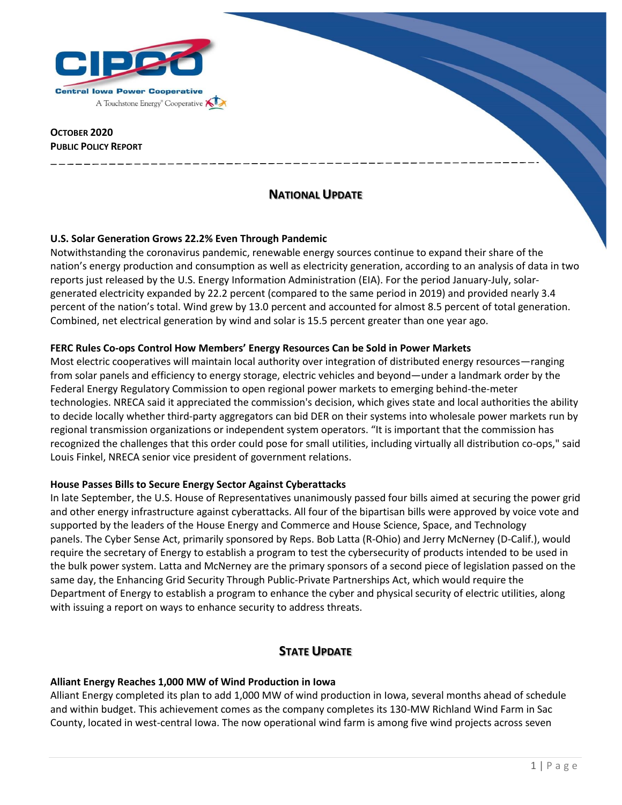

### **OCTOBER 2020 PUBLIC POLICY REPORT**

# **NATIONAL UPDATE**

## **U.S. Solar Generation Grows 22.2% Even Through Pandemic**

Notwithstanding the coronavirus pandemic, renewable energy sources continue to expand their share of the nation's energy production and consumption as well as electricity generation, according to an analysis of data in two reports just released by the U.S. Energy Information Administration (EIA). For the period January-July, solargenerated electricity expanded by 22.2 percent (compared to the same period in 2019) and provided nearly 3.4 percent of the nation's total. Wind grew by 13.0 percent and accounted for almost 8.5 percent of total generation. Combined, net electrical generation by wind and solar is 15.5 percent greater than one year ago.

## **FERC Rules Co-ops Control How Members' Energy Resources Can be Sold in Power Markets**

Most electric cooperatives will maintain local authority over integration of distributed energy resources—ranging from solar panels and efficiency to energy storage, electric vehicles and beyond—under a landmark order by the Federal Energy Regulatory Commission to open regional power markets to emerging behind-the-meter technologies. NRECA said it appreciated the commission's decision, which gives state and local authorities the ability to decide locally whether third-party aggregators can bid DER on their systems into wholesale power markets run by regional transmission organizations or independent system operators. "It is important that the commission has recognized the challenges that this order could pose for small utilities, including virtually all distribution co-ops," said Louis Finkel, NRECA senior vice president of government relations.

### **House Passes Bills to Secure Energy Sector Against Cyberattacks**

In late September, the U.S. House of Representatives unanimously passed four bills aimed at securing the power grid and other energy infrastructure against cyberattacks. All four of the bipartisan bills were approved by voice vote and supported by the leaders of the House Energy and Commerce and House Science, Space, and Technology panels. The Cyber Sense Act, primarily sponsored by Reps. Bob Latta (R-Ohio) and Jerry McNerney (D-Calif.), would require the secretary of Energy to establish a program to test the cybersecurity of products intended to be used in the bulk power system. Latta and McNerney are the primary sponsors of a second piece of legislation passed on the same day, the Enhancing Grid Security Through Public-Private Partnerships Act, which would require the Department of Energy to establish a program to enhance the cyber and physical security of electric utilities, along with issuing a report on ways to enhance security to address threats.

# **STATE UPDATE**

### **Alliant Energy Reaches 1,000 MW of Wind Production in Iowa**

Alliant Energy completed its plan to add 1,000 MW of wind production in Iowa, several months ahead of schedule and within budget. This achievement comes as the company completes its 130-MW Richland Wind Farm in Sac County, located in west-central Iowa. The now operational wind farm is among five wind projects across seven